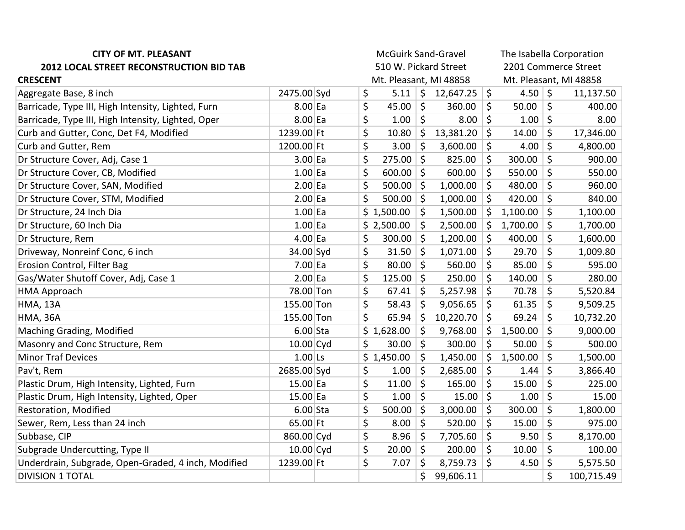| <b>CITY OF MT. PLEASANT</b>                         | <b>McGuirk Sand-Gravel</b> |  |                        |            |         | The Isabella Corporation |         |                        |         |            |  |
|-----------------------------------------------------|----------------------------|--|------------------------|------------|---------|--------------------------|---------|------------------------|---------|------------|--|
| <b>2012 LOCAL STREET RECONSTRUCTION BID TAB</b>     | 510 W. Pickard Street      |  |                        |            |         | 2201 Commerce Street     |         |                        |         |            |  |
| <b>CRESCENT</b>                                     |                            |  | Mt. Pleasant, MI 48858 |            |         |                          |         | Mt. Pleasant, MI 48858 |         |            |  |
| Aggregate Base, 8 inch                              | 2475.00 Syd                |  | \$                     | 5.11       | \$      | 12,647.25                | \$      | 4.50 $\vert$ \$        |         | 11,137.50  |  |
| Barricade, Type III, High Intensity, Lighted, Furn  | $8.00$ Ea                  |  | \$                     | 45.00      | \$      | 360.00                   | \$      | 50.00                  | \$      | 400.00     |  |
| Barricade, Type III, High Intensity, Lighted, Oper  | $8.00$ Ea                  |  | \$                     | 1.00       | \$      | 8.00                     | \$      | 1.00                   | $\zeta$ | 8.00       |  |
| Curb and Gutter, Conc, Det F4, Modified             | 1239.00 Ft                 |  | \$                     | 10.80      | \$      | 13,381.20                | \$      | 14.00                  | \$      | 17,346.00  |  |
| Curb and Gutter, Rem                                | 1200.00 Ft                 |  | \$                     | 3.00       | \$      | 3,600.00                 | \$      | 4.00                   | \$      | 4,800.00   |  |
| Dr Structure Cover, Adj, Case 1                     | $3.00$ Ea                  |  | \$                     | 275.00     | $\zeta$ | 825.00                   | \$      | 300.00                 | \$      | 900.00     |  |
| Dr Structure Cover, CB, Modified                    | $1.00$ Ea                  |  | \$                     | 600.00     | \$      | 600.00                   | \$      | 550.00                 | \$      | 550.00     |  |
| Dr Structure Cover, SAN, Modified                   | $2.00$ Ea                  |  | \$                     | 500.00     | $\zeta$ | 1,000.00                 | \$      | 480.00                 | \$      | 960.00     |  |
| Dr Structure Cover, STM, Modified                   | $2.00$ Ea                  |  | \$                     | 500.00     | \$      | 1,000.00                 | \$      | 420.00                 | \$      | 840.00     |  |
| Dr Structure, 24 Inch Dia                           | $1.00$ Ea                  |  |                        | \$1,500.00 | \$      | 1,500.00                 | \$      | 1,100.00               | \$      | 1,100.00   |  |
| Dr Structure, 60 Inch Dia                           | $1.00$ Ea                  |  |                        | \$2,500.00 | \$      | 2,500.00                 | \$      | 1,700.00               | \$      | 1,700.00   |  |
| Dr Structure, Rem                                   | $4.00$ Ea                  |  | \$                     | 300.00     | $\zeta$ | 1,200.00                 | $\zeta$ | 400.00                 | \$      | 1,600.00   |  |
| Driveway, Nonreinf Conc, 6 inch                     | 34.00 Syd                  |  | \$                     | 31.50      | \$      | 1,071.00                 | \$      | 29.70                  | \$      | 1,009.80   |  |
| Erosion Control, Filter Bag                         | $7.00$ Ea                  |  | $\zeta$                | 80.00      | $\zeta$ | 560.00                   | \$      | 85.00                  | \$      | 595.00     |  |
| Gas/Water Shutoff Cover, Adj, Case 1                | $2.00$ Ea                  |  | \$                     | 125.00     | \$      | 250.00                   | \$      | 140.00                 | \$      | 280.00     |  |
| <b>HMA Approach</b>                                 | 78.00 Ton                  |  | \$                     | 67.41      | \$      | 5,257.98                 | \$      | 70.78                  | \$      | 5,520.84   |  |
| <b>HMA, 13A</b>                                     | 155.00 Ton                 |  | \$                     | 58.43      | \$      | 9,056.65                 | \$      | 61.35                  | \$      | 9,509.25   |  |
| <b>HMA, 36A</b>                                     | 155.00 Ton                 |  | \$                     | 65.94      | $\zeta$ | 10,220.70                | \$      | 69.24                  | \$      | 10,732.20  |  |
| Maching Grading, Modified                           | $6.00$ Sta                 |  |                        | \$1,628.00 | $\zeta$ | 9,768.00                 | \$      | 1,500.00               | \$      | 9,000.00   |  |
| Masonry and Conc Structure, Rem                     | $10.00$ Cyd                |  | \$                     | 30.00      | \$      | 300.00                   | \$      | 50.00                  | \$      | 500.00     |  |
| <b>Minor Traf Devices</b>                           | $1.00$ Ls                  |  |                        | \$1,450.00 | \$      | 1,450.00                 | \$      | 1,500.00               | \$      | 1,500.00   |  |
| Pav't, Rem                                          | 2685.00 Syd                |  | \$                     | 1.00       | $\zeta$ | 2,685.00                 | \$      | 1.44                   | \$      | 3,866.40   |  |
| Plastic Drum, High Intensity, Lighted, Furn         | $15.00$ Ea                 |  | \$                     | 11.00      | \$      | 165.00                   | \$      | 15.00                  | \$      | 225.00     |  |
| Plastic Drum, High Intensity, Lighted, Oper         | $15.00$ Ea                 |  | \$                     | 1.00       | \$      | 15.00                    | $\zeta$ | 1.00                   | \$      | 15.00      |  |
| Restoration, Modified                               | $6.00$ Sta                 |  | \$                     | 500.00     | \$      | 3,000.00                 | \$      | 300.00                 | \$      | 1,800.00   |  |
| Sewer, Rem, Less than 24 inch                       | 65.00 Ft                   |  | \$                     | 8.00       | \$      | 520.00                   | \$      | 15.00                  | \$      | 975.00     |  |
| Subbase, CIP                                        | 860.00 Cyd                 |  | \$                     | 8.96       | \$      | 7,705.60                 | \$      | 9.50                   | \$      | 8,170.00   |  |
| Subgrade Undercutting, Type II                      | $10.00$ Cyd                |  | \$                     | 20.00      | $\zeta$ | 200.00                   | \$      | 10.00                  | \$      | 100.00     |  |
| Underdrain, Subgrade, Open-Graded, 4 inch, Modified | 1239.00 Ft                 |  | \$                     | 7.07       | \$      | 8,759.73                 | \$      | 4.50                   | \$      | 5,575.50   |  |
| <b>DIVISION 1 TOTAL</b>                             |                            |  |                        |            | \$      | 99,606.11                |         |                        | \$      | 100,715.49 |  |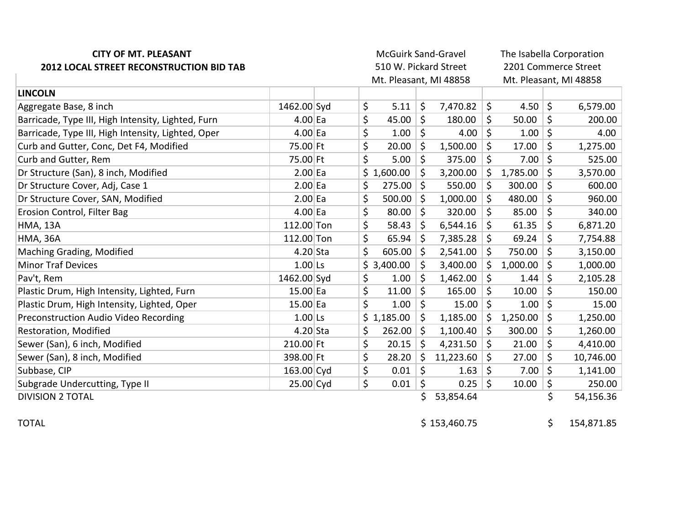| <b>CITY OF MT. PLEASANT</b><br>2012 LOCAL STREET RECONSTRUCTION BID TAB |             |  |    | <b>McGuirk Sand-Gravel</b><br>510 W. Pickard Street<br>Mt. Pleasant, MI 48858 |         |           | The Isabella Corporation<br>2201 Commerce Street<br>Mt. Pleasant, MI 48858 |          |    |           |
|-------------------------------------------------------------------------|-------------|--|----|-------------------------------------------------------------------------------|---------|-----------|----------------------------------------------------------------------------|----------|----|-----------|
| <b>LINCOLN</b>                                                          |             |  |    |                                                                               |         |           |                                                                            |          |    |           |
| Aggregate Base, 8 inch                                                  | 1462.00 Syd |  | \$ | 5.11                                                                          | \$      | 7,470.82  | $\zeta$                                                                    | 4.50     | \$ | 6,579.00  |
| Barricade, Type III, High Intensity, Lighted, Furn                      | $4.00$ Ea   |  | \$ | 45.00                                                                         | \$      | 180.00    | \$                                                                         | 50.00    | \$ | 200.00    |
| Barricade, Type III, High Intensity, Lighted, Oper                      | $4.00$ Ea   |  | \$ | 1.00                                                                          | $\zeta$ | 4.00      | \$                                                                         | 1.00     | \$ | 4.00      |
| Curb and Gutter, Conc, Det F4, Modified                                 | 75.00 Ft    |  | \$ | 20.00                                                                         | $\zeta$ | 1,500.00  | \$                                                                         | 17.00    | \$ | 1,275.00  |
| Curb and Gutter, Rem                                                    | 75.00 Ft    |  | \$ | 5.00                                                                          | \$      | 375.00    | \$                                                                         | 7.00     | \$ | 525.00    |
| Dr Structure (San), 8 inch, Modified                                    | $2.00$ Ea   |  |    | \$1,600.00                                                                    | \$      | 3,200.00  | \$                                                                         | 1,785.00 | \$ | 3,570.00  |
| Dr Structure Cover, Adj, Case 1                                         | $2.00$ Ea   |  | \$ | 275.00                                                                        | \$      | 550.00    | \$                                                                         | 300.00   | \$ | 600.00    |
| Dr Structure Cover, SAN, Modified                                       | $2.00$ Ea   |  | \$ | 500.00                                                                        | \$      | 1,000.00  | \$                                                                         | 480.00   | \$ | 960.00    |
| Erosion Control, Filter Bag                                             | $4.00$ Ea   |  | \$ | 80.00                                                                         | $\zeta$ | 320.00    | \$                                                                         | 85.00    | \$ | 340.00    |
| <b>HMA, 13A</b>                                                         | 112.00 Ton  |  | \$ | 58.43                                                                         | \$      | 6,544.16  | \$                                                                         | 61.35    | \$ | 6,871.20  |
| <b>HMA, 36A</b>                                                         | 112.00 Ton  |  | \$ | 65.94                                                                         | \$      | 7,385.28  | \$                                                                         | 69.24    | \$ | 7,754.88  |
| Maching Grading, Modified                                               | $4.20$ Sta  |  | \$ | 605.00                                                                        | \$      | 2,541.00  | $\zeta$                                                                    | 750.00   | \$ | 3,150.00  |
| <b>Minor Traf Devices</b>                                               | $1.00$ Ls   |  |    | \$3,400.00                                                                    | \$      | 3,400.00  | Ŝ.                                                                         | 1,000.00 | \$ | 1,000.00  |
| Pav't, Rem                                                              | 1462.00 Syd |  | \$ | 1.00                                                                          | \$      | 1,462.00  | \$                                                                         | 1.44     | \$ | 2,105.28  |
| Plastic Drum, High Intensity, Lighted, Furn                             | 15.00 Ea    |  | \$ | 11.00                                                                         | \$      | 165.00    | \$                                                                         | 10.00    | \$ | 150.00    |
| Plastic Drum, High Intensity, Lighted, Oper                             | 15.00 Ea    |  | \$ | 1.00                                                                          | \$      | 15.00     | \$                                                                         | 1.00     | \$ | 15.00     |
| Preconstruction Audio Video Recording                                   | $1.00$ Ls   |  |    | \$1,185.00                                                                    | \$      | 1,185.00  | Ŝ.                                                                         | 1,250.00 | \$ | 1,250.00  |
| Restoration, Modified                                                   | $4.20$ Sta  |  | \$ | 262.00                                                                        | \$      | 1,100.40  | \$                                                                         | 300.00   | \$ | 1,260.00  |
| Sewer (San), 6 inch, Modified                                           | 210.00 Ft   |  | \$ | 20.15                                                                         | \$      | 4,231.50  | \$                                                                         | 21.00    | \$ | 4,410.00  |
| Sewer (San), 8 inch, Modified                                           | 398.00 Ft   |  | \$ | 28.20                                                                         | \$      | 11,223.60 | \$                                                                         | 27.00    | \$ | 10,746.00 |
| Subbase, CIP                                                            | 163.00 Cyd  |  | \$ | 0.01                                                                          | \$      | 1.63      | \$                                                                         | 7.00     | \$ | 1,141.00  |
| Subgrade Undercutting, Type II                                          | 25.00 Cyd   |  | \$ | 0.01                                                                          | \$      | 0.25      | $\zeta$                                                                    | 10.00    | \$ | 250.00    |
| <b>DIVISION 2 TOTAL</b>                                                 |             |  |    |                                                                               | \$      | 53,854.64 |                                                                            |          | \$ | 54,156.36 |

TOTAL \$153,460.75 \$153,460.75 \$153,460.75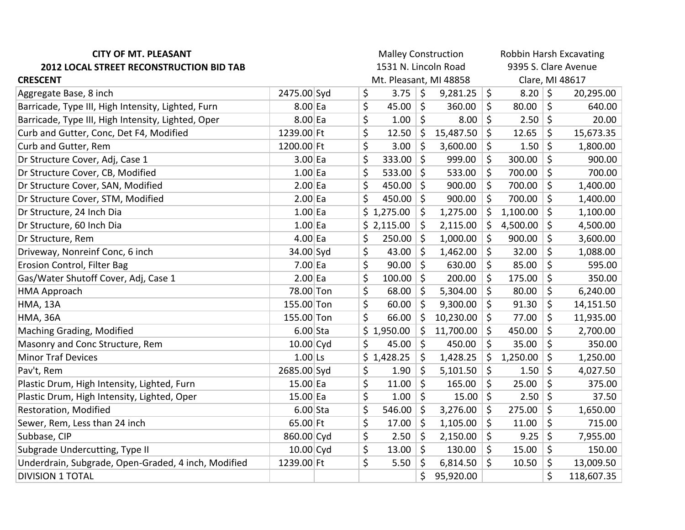| <b>CITY OF MT. PLEASANT</b>                         | <b>Malley Construction</b> |  |    |                        |         |                      | Robbin Harsh Excavating |          |             |            |
|-----------------------------------------------------|----------------------------|--|----|------------------------|---------|----------------------|-------------------------|----------|-------------|------------|
| 2012 LOCAL STREET RECONSTRUCTION BID TAB            | 1531 N. Lincoln Road       |  |    |                        |         | 9395 S. Clare Avenue |                         |          |             |            |
| <b>CRESCENT</b>                                     |                            |  |    | Mt. Pleasant, MI 48858 |         |                      | Clare, MI 48617         |          |             |            |
| Aggregate Base, 8 inch                              | 2475.00 Syd                |  | \$ | 3.75                   | $\zeta$ | 9,281.25             | \$                      | 8.20 \$  |             | 20,295.00  |
| Barricade, Type III, High Intensity, Lighted, Furn  | $8.00$ Ea                  |  | \$ | 45.00                  | \$      | 360.00               | \$                      | 80.00    | \$          | 640.00     |
| Barricade, Type III, High Intensity, Lighted, Oper  | $8.00$ Ea                  |  | \$ | 1.00                   | \$      | 8.00                 | \$                      | 2.50     | $\zeta$     | 20.00      |
| Curb and Gutter, Conc, Det F4, Modified             | 1239.00 Ft                 |  | \$ | 12.50                  | \$      | 15,487.50            | \$                      | 12.65    | \$          | 15,673.35  |
| Curb and Gutter, Rem                                | 1200.00 Ft                 |  | \$ | 3.00                   | \$      | 3,600.00             | \$                      | 1.50     | \$          | 1,800.00   |
| Dr Structure Cover, Adj, Case 1                     | $3.00$ Ea                  |  | \$ | 333.00                 | \$      | 999.00               | \$                      | 300.00   | \$          | 900.00     |
| Dr Structure Cover, CB, Modified                    | $1.00$ Ea                  |  | \$ | 533.00                 | \$      | 533.00               | \$                      | 700.00   | \$          | 700.00     |
| Dr Structure Cover, SAN, Modified                   | $2.00$ Ea                  |  | \$ | 450.00                 | \$      | 900.00               | \$                      | 700.00   | \$          | 1,400.00   |
| Dr Structure Cover, STM, Modified                   | $2.00$ Ea                  |  | \$ | 450.00                 | \$      | 900.00               | \$                      | 700.00   | \$          | 1,400.00   |
| Dr Structure, 24 Inch Dia                           | $1.00$ Ea                  |  |    | \$1,275.00             | \$      | 1,275.00             | \$                      | 1,100.00 | \$          | 1,100.00   |
| Dr Structure, 60 Inch Dia                           | $1.00$ Ea                  |  |    | \$2,115.00             | \$      | 2,115.00             | \$                      | 4,500.00 | \$          | 4,500.00   |
| Dr Structure, Rem                                   | $4.00$ Ea                  |  | \$ | 250.00                 | \$      | 1,000.00             | \$                      | 900.00   | \$          | 3,600.00   |
| Driveway, Nonreinf Conc, 6 inch                     | 34.00 Syd                  |  | \$ | 43.00                  | \$      | 1,462.00             | \$                      | 32.00    | \$          | 1,088.00   |
| Erosion Control, Filter Bag                         | $7.00$ Ea                  |  | \$ | 90.00                  | \$      | 630.00               | \$                      | 85.00    | \$          | 595.00     |
| Gas/Water Shutoff Cover, Adj, Case 1                | $2.00$ Ea                  |  | \$ | 100.00                 | \$      | 200.00               | \$                      | 175.00   | \$          | 350.00     |
| <b>HMA Approach</b>                                 | 78.00 Ton                  |  | \$ | 68.00                  | \$      | 5,304.00             | \$                      | 80.00    | \$          | 6,240.00   |
| <b>HMA, 13A</b>                                     | 155.00 Ton                 |  | \$ | 60.00                  | \$      | 9,300.00             | \$                      | 91.30    | \$          | 14,151.50  |
| <b>HMA, 36A</b>                                     | 155.00 Ton                 |  | \$ | 66.00                  | \$      | 10,230.00            | \$                      | 77.00    | \$          | 11,935.00  |
| Maching Grading, Modified                           | $6.00$ Sta                 |  |    | \$1,950.00             | \$      | 11,700.00            | \$                      | 450.00   | \$          | 2,700.00   |
| Masonry and Conc Structure, Rem                     | $10.00$ Cyd                |  | \$ | 45.00                  | $\zeta$ | 450.00               | \$                      | 35.00    | \$          | 350.00     |
| <b>Minor Traf Devices</b>                           | $1.00$ Ls                  |  |    | \$1,428.25             | \$      | 1,428.25             | \$                      | 1,250.00 | \$          | 1,250.00   |
| Pav't, Rem                                          | 2685.00 Syd                |  | \$ | 1.90                   | \$      | 5,101.50             | \$                      | 1.50     | \$          | 4,027.50   |
| Plastic Drum, High Intensity, Lighted, Furn         | $15.00$ Ea                 |  | \$ | 11.00                  | \$      | 165.00               | \$                      | 25.00    | \$          | 375.00     |
| Plastic Drum, High Intensity, Lighted, Oper         | $15.00$ Ea                 |  | \$ | 1.00                   | $\zeta$ | 15.00                | \$                      | 2.50     | $\varsigma$ | 37.50      |
| Restoration, Modified                               | $6.00$ Sta                 |  | \$ | 546.00                 | \$      | 3,276.00             | \$                      | 275.00   | \$          | 1,650.00   |
| Sewer, Rem, Less than 24 inch                       | 65.00 Ft                   |  | \$ | 17.00                  | $\zeta$ | 1,105.00             | \$                      | 11.00    | \$          | 715.00     |
| Subbase, CIP                                        | 860.00 Cyd                 |  | \$ | 2.50                   | $\zeta$ | 2,150.00             | \$                      | 9.25     | \$          | 7,955.00   |
| Subgrade Undercutting, Type II                      | $10.00$ Cyd                |  | \$ | 13.00                  | $\zeta$ | 130.00               | \$                      | 15.00    | \$          | 150.00     |
| Underdrain, Subgrade, Open-Graded, 4 inch, Modified | 1239.00 Ft                 |  | \$ | 5.50                   | \$      | 6,814.50             | \$                      | 10.50    | \$          | 13,009.50  |
| <b>DIVISION 1 TOTAL</b>                             |                            |  |    |                        | \$      | 95,920.00            |                         |          | \$          | 118,607.35 |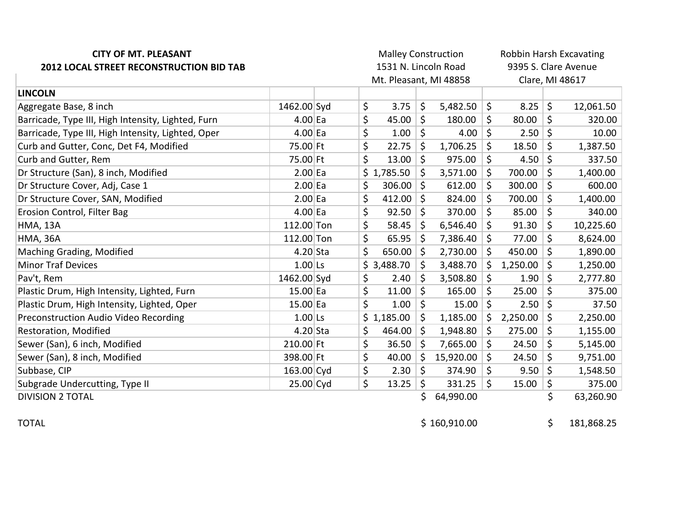| <b>CITY OF MT. PLEASANT</b><br>2012 LOCAL STREET RECONSTRUCTION BID TAB |             |  | <b>Malley Construction</b><br>1531 N. Lincoln Road |                        |         | Robbin Harsh Excavating<br>9395 S. Clare Avenue |                 |          |         |           |  |
|-------------------------------------------------------------------------|-------------|--|----------------------------------------------------|------------------------|---------|-------------------------------------------------|-----------------|----------|---------|-----------|--|
|                                                                         |             |  |                                                    | Mt. Pleasant, MI 48858 |         |                                                 | Clare, MI 48617 |          |         |           |  |
| <b>LINCOLN</b>                                                          |             |  |                                                    |                        |         |                                                 |                 |          |         |           |  |
| Aggregate Base, 8 inch                                                  | 1462.00 Syd |  | \$                                                 | 3.75                   | \$      | 5,482.50                                        | $\zeta$         | 8.25     | $\zeta$ | 12,061.50 |  |
| Barricade, Type III, High Intensity, Lighted, Furn                      | $4.00$ Ea   |  | \$                                                 | 45.00                  | \$      | 180.00                                          | \$              | 80.00    | \$      | 320.00    |  |
| Barricade, Type III, High Intensity, Lighted, Oper                      | $4.00$ Ea   |  | \$                                                 | 1.00                   | \$      | 4.00                                            | $\zeta$         | 2.50     | $\zeta$ | 10.00     |  |
| Curb and Gutter, Conc, Det F4, Modified                                 | 75.00 Ft    |  | \$                                                 | 22.75                  | \$      | 1,706.25                                        | \$              | 18.50    | \$      | 1,387.50  |  |
| Curb and Gutter, Rem                                                    | 75.00 Ft    |  | \$                                                 | 13.00                  | \$      | 975.00                                          | \$              | 4.50     | \$      | 337.50    |  |
| Dr Structure (San), 8 inch, Modified                                    | $2.00$ Ea   |  |                                                    | \$1,785.50             | \$      | 3,571.00                                        | $\zeta$         | 700.00   | \$      | 1,400.00  |  |
| Dr Structure Cover, Adj, Case 1                                         | $2.00$ Ea   |  | \$                                                 | 306.00                 | \$      | 612.00                                          | \$              | 300.00   | \$      | 600.00    |  |
| Dr Structure Cover, SAN, Modified                                       | $2.00$ Ea   |  | \$                                                 | 412.00                 | \$.     | 824.00                                          | \$              | 700.00   | \$      | 1,400.00  |  |
| Erosion Control, Filter Bag                                             | $4.00$ Ea   |  | \$                                                 | 92.50                  | \$      | 370.00                                          | \$              | 85.00    | \$      | 340.00    |  |
| <b>HMA, 13A</b>                                                         | 112.00 Ton  |  | \$                                                 | 58.45                  | \$      | 6,546.40                                        | \$              | 91.30    | \$      | 10,225.60 |  |
| <b>HMA, 36A</b>                                                         | 112.00 Ton  |  | \$                                                 | 65.95                  | Ŝ.      | 7,386.40                                        | \$              | 77.00    | \$      | 8,624.00  |  |
| Maching Grading, Modified                                               | $4.20$ Sta  |  | \$                                                 | 650.00                 | $\zeta$ | 2,730.00                                        | $\zeta$         | 450.00   | \$      | 1,890.00  |  |
| <b>Minor Traf Devices</b>                                               | $1.00$ Ls   |  |                                                    | \$3,488.70             | \$      | 3,488.70                                        | \$              | 1,250.00 | \$      | 1,250.00  |  |
| Pav't, Rem                                                              | 1462.00 Syd |  | \$                                                 | 2.40                   | \$      | 3,508.80                                        | \$              | 1.90     | \$      | 2,777.80  |  |
| Plastic Drum, High Intensity, Lighted, Furn                             | 15.00 Ea    |  | \$                                                 | 11.00                  | \$      | 165.00                                          | \$              | 25.00    | \$      | 375.00    |  |
| Plastic Drum, High Intensity, Lighted, Oper                             | 15.00 Ea    |  | \$                                                 | 1.00                   | \$      | 15.00                                           | \$              | 2.50     | \$      | 37.50     |  |
| Preconstruction Audio Video Recording                                   | $1.00$ Ls   |  |                                                    | \$1,185.00             | \$      | 1,185.00                                        | $\zeta$         | 2,250.00 | \$      | 2,250.00  |  |
| Restoration, Modified                                                   | $4.20$ Sta  |  | \$                                                 | 464.00                 | \$      | 1,948.80                                        | \$              | 275.00   | \$      | 1,155.00  |  |
| Sewer (San), 6 inch, Modified                                           | 210.00 Ft   |  | \$                                                 | 36.50                  | $\zeta$ | 7,665.00                                        | $\zeta$         | 24.50    | \$      | 5,145.00  |  |
| Sewer (San), 8 inch, Modified                                           | 398.00 Ft   |  | \$                                                 | 40.00                  | $\zeta$ | 15,920.00                                       | \$              | 24.50    | \$      | 9,751.00  |  |
| Subbase, CIP                                                            | 163.00 Cyd  |  | \$                                                 | 2.30                   | Ŝ.      | 374.90                                          | \$              | 9.50     | \$      | 1,548.50  |  |
| Subgrade Undercutting, Type II                                          | $25.00$ Cyd |  | \$                                                 | 13.25                  | \$      | 331.25                                          | \$              | 15.00    | \$      | 375.00    |  |
| <b>DIVISION 2 TOTAL</b>                                                 |             |  |                                                    |                        | \$      | 64,990.00                                       |                 |          | \$      | 63,260.90 |  |

TOTAL \$160,910.00 \$160,910.00 \$181,868.25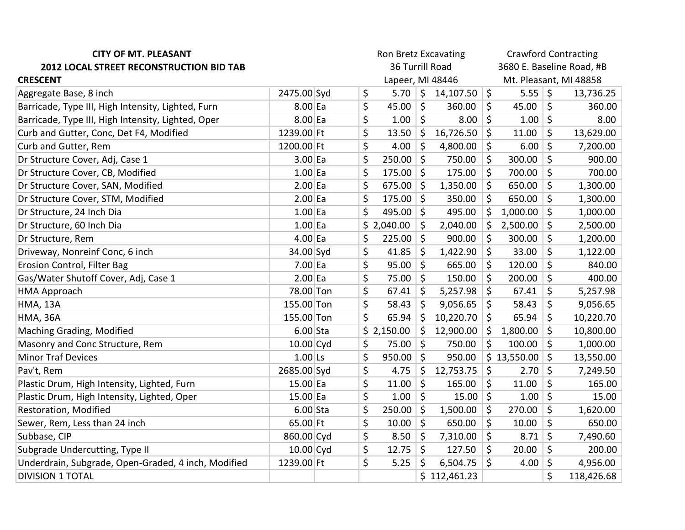| <b>CITY OF MT. PLEASANT</b>                         |             | Ron Bretz Excavating |                  |            |                          |              | <b>Crawford Contracting</b> |                           |                         |            |  |
|-----------------------------------------------------|-------------|----------------------|------------------|------------|--------------------------|--------------|-----------------------------|---------------------------|-------------------------|------------|--|
| 2012 LOCAL STREET RECONSTRUCTION BID TAB            |             |                      | 36 Turrill Road  |            |                          |              |                             | 3680 E. Baseline Road, #B |                         |            |  |
| <b>CRESCENT</b>                                     |             |                      | Lapeer, MI 48446 |            |                          |              |                             | Mt. Pleasant, MI 48858    |                         |            |  |
| Aggregate Base, 8 inch                              | 2475.00 Syd |                      | \$               | 5.70       | $\vert \mathsf{S} \vert$ | 14,107.50    | $\zeta$                     | $5.55$ \$                 |                         | 13,736.25  |  |
| Barricade, Type III, High Intensity, Lighted, Furn  | $8.00$ Ea   |                      | \$               | 45.00      | $\zeta$                  | 360.00       | \$                          | 45.00                     | $\zeta$                 | 360.00     |  |
| Barricade, Type III, High Intensity, Lighted, Oper  | $8.00$ Ea   |                      | \$               | 1.00       | $\zeta$                  | 8.00         | \$                          | 1.00                      | 5                       | 8.00       |  |
| Curb and Gutter, Conc, Det F4, Modified             | 1239.00 Ft  |                      | \$               | 13.50      | \$                       | 16,726.50    | \$                          | 11.00                     | \$                      | 13,629.00  |  |
| Curb and Gutter, Rem                                | 1200.00 Ft  |                      | \$               | 4.00       | $\zeta$                  | 4,800.00     | $\zeta$                     | 6.00                      | $\zeta$                 | 7,200.00   |  |
| Dr Structure Cover, Adj, Case 1                     | $3.00$ Ea   |                      | \$               | 250.00     | $\zeta$                  | 750.00       | \$                          | 300.00                    | \$                      | 900.00     |  |
| Dr Structure Cover, CB, Modified                    | $1.00$ Ea   |                      | \$               | 175.00     | $\mathsf{S}$             | 175.00       | $\zeta$                     | 700.00                    | $\zeta$                 | 700.00     |  |
| Dr Structure Cover, SAN, Modified                   | $2.00$ Ea   |                      | \$               | 675.00     | \$                       | 1,350.00     | \$                          | 650.00                    | $\zeta$                 | 1,300.00   |  |
| Dr Structure Cover, STM, Modified                   | $2.00$ Ea   |                      | \$               | 175.00     | $\zeta$                  | 350.00       | $\zeta$                     | 650.00                    | $\zeta$                 | 1,300.00   |  |
| Dr Structure, 24 Inch Dia                           | $1.00$ Ea   |                      | \$               | 495.00     | \$ ا                     | 495.00       | \$                          | 1,000.00                  | $\zeta$                 | 1,000.00   |  |
| Dr Structure, 60 Inch Dia                           | $1.00$ Ea   |                      |                  | \$2,040.00 | \$                       | 2,040.00     | \$                          | 2,500.00                  | \$                      | 2,500.00   |  |
| Dr Structure, Rem                                   | $4.00$ Ea   |                      | \$               | 225.00     | $\zeta$                  | 900.00       | \$                          | 300.00                    | \$                      | 1,200.00   |  |
| Driveway, Nonreinf Conc, 6 inch                     | 34.00 Syd   |                      | \$               | 41.85      | \$                       | 1,422.90     | \$                          | 33.00                     | \$                      | 1,122.00   |  |
| Erosion Control, Filter Bag                         | $7.00$ Ea   |                      | \$               | 95.00      | $\zeta$                  | 665.00       | $\zeta$                     | 120.00                    | \$                      | 840.00     |  |
| Gas/Water Shutoff Cover, Adj, Case 1                | $2.00$ Ea   |                      | \$               | 75.00      | $\zeta$                  | 150.00       | $\zeta$                     | 200.00                    | $\zeta$                 | 400.00     |  |
| <b>HMA Approach</b>                                 | 78.00 Ton   |                      | \$               | 67.41      | $\zeta$                  | 5,257.98     | $\zeta$                     | 67.41                     | \$                      | 5,257.98   |  |
| <b>HMA, 13A</b>                                     | 155.00 Ton  |                      | \$               | 58.43      | $\zeta$                  | 9,056.65     | \$                          | 58.43                     | \$                      | 9,056.65   |  |
| <b>HMA, 36A</b>                                     | 155.00 Ton  |                      | \$               | 65.94      | $\zeta$                  | 10,220.70    | $\zeta$                     | 65.94                     | \$                      | 10,220.70  |  |
| Maching Grading, Modified                           | $6.00$ Sta  |                      |                  | \$2,150.00 | \$                       | 12,900.00    | \$                          | 1,800.00                  | \$                      | 10,800.00  |  |
| Masonry and Conc Structure, Rem                     | $10.00$ Cyd |                      | \$               | 75.00      | $\zeta$                  | 750.00       | $\zeta$                     | 100.00                    | $\zeta$                 | 1,000.00   |  |
| <b>Minor Traf Devices</b>                           | $1.00$ Ls   |                      | \$               | 950.00     | $\zeta$                  | 950.00       |                             | \$13,550.00               | \$                      | 13,550.00  |  |
| Pav't, Rem                                          | 2685.00 Syd |                      | \$               | 4.75       | \$                       | 12,753.75    | \$                          | 2.70                      | $\overline{\mathsf{S}}$ | 7,249.50   |  |
| Plastic Drum, High Intensity, Lighted, Furn         | $15.00$ Ea  |                      | \$               | 11.00      | \$                       | 165.00       | \$                          | 11.00                     | \$                      | 165.00     |  |
| Plastic Drum, High Intensity, Lighted, Oper         | $15.00$ Ea  |                      | \$               | 1.00       | $\zeta$                  | 15.00        | $\zeta$                     | 1.00                      | $\zeta$                 | 15.00      |  |
| Restoration, Modified                               | $6.00$ Sta  |                      | \$               | 250.00     | \$                       | 1,500.00     | \$                          | 270.00                    | \$                      | 1,620.00   |  |
| Sewer, Rem, Less than 24 inch                       | 65.00 Ft    |                      | \$               | 10.00      | $\zeta$                  | 650.00       | \$                          | 10.00                     | $\zeta$                 | 650.00     |  |
| Subbase, CIP                                        | 860.00 Cyd  |                      | \$               | 8.50       | \$                       | 7,310.00     | \$                          | 8.71                      | \$                      | 7,490.60   |  |
| Subgrade Undercutting, Type II                      | $10.00$ Cyd |                      | \$               | 12.75      | $\zeta$                  | 127.50       | $\zeta$                     | 20.00                     | \$                      | 200.00     |  |
| Underdrain, Subgrade, Open-Graded, 4 inch, Modified | 1239.00 Ft  |                      | \$               | 5.25       | \$                       | 6,504.75     | $\zeta$                     | 4.00                      | \$                      | 4,956.00   |  |
| <b>DIVISION 1 TOTAL</b>                             |             |                      |                  |            |                          | \$112,461.23 |                             |                           | \$                      | 118,426.68 |  |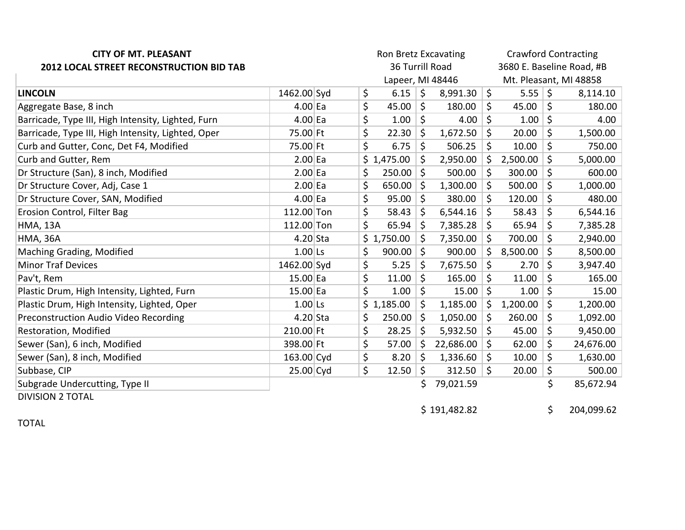| <b>CITY OF MT. PLEASANT</b>                        |                 |  |  |    | Ron Bretz Excavating |            |                           | <b>Crawford Contracting</b> |          |         |           |  |  |
|----------------------------------------------------|-----------------|--|--|----|----------------------|------------|---------------------------|-----------------------------|----------|---------|-----------|--|--|
| 2012 LOCAL STREET RECONSTRUCTION BID TAB           | 36 Turrill Road |  |  |    |                      |            | 3680 E. Baseline Road, #B |                             |          |         |           |  |  |
|                                                    |                 |  |  |    | Lapeer, MI 48446     |            |                           | Mt. Pleasant, MI 48858      |          |         |           |  |  |
| <b>LINCOLN</b>                                     | 1462.00 Syd     |  |  | \$ | 6.15                 | $\vert$ \$ | 8,991.30                  | $\zeta$                     | 5.55     | $\zeta$ | 8,114.10  |  |  |
| Aggregate Base, 8 inch                             | $4.00$ Ea       |  |  | \$ | 45.00                | \$         | 180.00                    | \$                          | 45.00    | \$      | 180.00    |  |  |
| Barricade, Type III, High Intensity, Lighted, Furn | $4.00$ Ea       |  |  | \$ | 1.00                 | \$         | 4.00                      | \$                          | 1.00     | \$      | 4.00      |  |  |
| Barricade, Type III, High Intensity, Lighted, Oper | 75.00 Ft        |  |  | \$ | 22.30                | \$         | 1,672.50                  | \$                          | 20.00    | \$      | 1,500.00  |  |  |
| Curb and Gutter, Conc, Det F4, Modified            | 75.00 Ft        |  |  | \$ | 6.75                 | \$         | 506.25                    | \$                          | 10.00    | \$      | 750.00    |  |  |
| Curb and Gutter, Rem                               | $2.00$ Ea       |  |  |    | \$1,475.00           | \$         | 2,950.00                  | \$                          | 2,500.00 | $\zeta$ | 5,000.00  |  |  |
| Dr Structure (San), 8 inch, Modified               | $2.00$ Ea       |  |  | \$ | 250.00               | $\zeta$    | 500.00                    | \$                          | 300.00   | \$      | 600.00    |  |  |
| Dr Structure Cover, Adj, Case 1                    | $2.00$ Ea       |  |  | \$ | 650.00               | $\zeta$    | 1,300.00                  | \$                          | 500.00   | \$      | 1,000.00  |  |  |
| Dr Structure Cover, SAN, Modified                  | $4.00$ Ea       |  |  | \$ | 95.00                | \$         | 380.00                    | \$                          | 120.00   | \$      | 480.00    |  |  |
| Erosion Control, Filter Bag                        | 112.00 Ton      |  |  | \$ | 58.43                | \$         | 6,544.16                  | $\zeta$                     | 58.43    | \$      | 6,544.16  |  |  |
| <b>HMA, 13A</b>                                    | 112.00 Ton      |  |  | \$ | 65.94                | $\zeta$    | 7,385.28                  | \$                          | 65.94    | \$      | 7,385.28  |  |  |
| <b>HMA, 36A</b>                                    | $4.20$ Sta      |  |  |    | \$1,750.00           | \$         | 7,350.00                  | \$                          | 700.00   | \$      | 2,940.00  |  |  |
| Maching Grading, Modified                          | $1.00$ Ls       |  |  | \$ | 900.00               | $\zeta$    | 900.00                    | Ŝ.                          | 8,500.00 | \$      | 8,500.00  |  |  |
| <b>Minor Traf Devices</b>                          | 1462.00 Syd     |  |  | \$ | 5.25                 | \$         | 7,675.50                  | \$                          | 2.70     | \$      | 3,947.40  |  |  |
| Pav't, Rem                                         | 15.00 Ea        |  |  | \$ | 11.00                | \$         | 165.00                    | \$                          | 11.00    | \$      | 165.00    |  |  |
| Plastic Drum, High Intensity, Lighted, Furn        | 15.00 Ea        |  |  | \$ | 1.00                 | $\zeta$    | 15.00                     | \$                          | 1.00     | \$      | 15.00     |  |  |
| Plastic Drum, High Intensity, Lighted, Oper        | $1.00$ Ls       |  |  |    | \$1,185.00           | \$         | 1,185.00                  | \$                          | 1,200.00 | \$      | 1,200.00  |  |  |
| Preconstruction Audio Video Recording              | $4.20$ Sta      |  |  | \$ | 250.00               | \$         | 1,050.00                  | \$                          | 260.00   | \$      | 1,092.00  |  |  |
| Restoration, Modified                              | 210.00 Ft       |  |  | \$ | 28.25                | \$         | 5,932.50                  | \$                          | 45.00    | \$      | 9,450.00  |  |  |
| Sewer (San), 6 inch, Modified                      | 398.00 Ft       |  |  | \$ | 57.00                | \$         | 22,686.00                 | $\zeta$                     | 62.00    | \$      | 24,676.00 |  |  |
| Sewer (San), 8 inch, Modified                      | 163.00 Cyd      |  |  | \$ | 8.20                 | \$         | 1,336.60                  | \$                          | 10.00    | \$      | 1,630.00  |  |  |
| Subbase, CIP                                       | 25.00 Cyd       |  |  | \$ | 12.50                | \$         | 312.50                    | \$                          | 20.00    | \$      | 500.00    |  |  |
| Subgrade Undercutting, Type II                     |                 |  |  |    |                      | \$.        | 79,021.59                 |                             |          | \$      | 85,672.94 |  |  |
| <b>DIVISION 2 TOTAL</b>                            |                 |  |  |    |                      |            |                           |                             |          |         |           |  |  |

**TOTAL** 

 $$191,482.82$  $\ddot{\mathsf{S}}$ 

204,099.62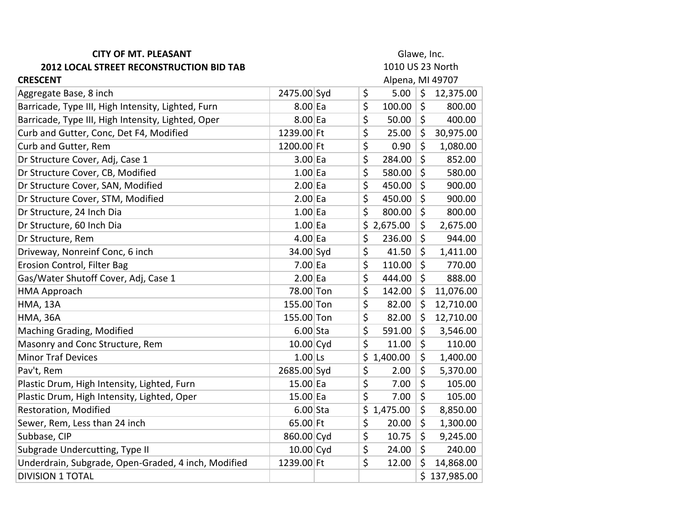| <b>CITY OF MT. PLEASANT</b>                         | Glawe, Inc. |  |                  |                  |         |              |  |  |
|-----------------------------------------------------|-------------|--|------------------|------------------|---------|--------------|--|--|
| 2012 LOCAL STREET RECONSTRUCTION BID TAB            |             |  | 1010 US 23 North |                  |         |              |  |  |
| <b>CRESCENT</b>                                     |             |  |                  | Alpena, MI 49707 |         |              |  |  |
| Aggregate Base, 8 inch                              | 2475.00 Syd |  | \$               | 5.00             | $\zeta$ | 12,375.00    |  |  |
| Barricade, Type III, High Intensity, Lighted, Furn  | $8.00$ Ea   |  | \$               | 100.00           | \$      | 800.00       |  |  |
| Barricade, Type III, High Intensity, Lighted, Oper  | 8.00 Ea     |  | \$               | 50.00            | \$      | 400.00       |  |  |
| Curb and Gutter, Conc, Det F4, Modified             | 1239.00 Ft  |  | \$               | 25.00            | \$      | 30,975.00    |  |  |
| Curb and Gutter, Rem                                | 1200.00 Ft  |  | \$               | 0.90             | \$      | 1,080.00     |  |  |
| Dr Structure Cover, Adj, Case 1                     | $3.00$ Ea   |  | \$               | 284.00           | \$      | 852.00       |  |  |
| Dr Structure Cover, CB, Modified                    | $1.00$ Ea   |  | \$               | 580.00           | \$      | 580.00       |  |  |
| Dr Structure Cover, SAN, Modified                   | $2.00$ Ea   |  | \$               | 450.00           | \$      | 900.00       |  |  |
| Dr Structure Cover, STM, Modified                   | $2.00$ Ea   |  | \$               | 450.00           | \$      | 900.00       |  |  |
| Dr Structure, 24 Inch Dia                           | $1.00$ Ea   |  | \$               | 800.00           | \$      | 800.00       |  |  |
| Dr Structure, 60 Inch Dia                           | $1.00$ Ea   |  |                  | \$2,675.00       | \$      | 2,675.00     |  |  |
| Dr Structure, Rem                                   | $4.00$ Ea   |  | \$               | 236.00           | \$      | 944.00       |  |  |
| Driveway, Nonreinf Conc, 6 inch                     | 34.00 Syd   |  | \$               | 41.50            | \$      | 1,411.00     |  |  |
| Erosion Control, Filter Bag                         | $7.00$ Ea   |  | \$               | 110.00           | $\zeta$ | 770.00       |  |  |
| Gas/Water Shutoff Cover, Adj, Case 1                | $2.00$ Ea   |  | \$               | 444.00           | \$      | 888.00       |  |  |
| <b>HMA Approach</b>                                 | 78.00 Ton   |  | \$               | 142.00           | \$      | 11,076.00    |  |  |
| <b>HMA, 13A</b>                                     | 155.00 Ton  |  | \$               | 82.00            | \$      | 12,710.00    |  |  |
| <b>HMA, 36A</b>                                     | 155.00 Ton  |  | \$               | 82.00            | \$      | 12,710.00    |  |  |
| Maching Grading, Modified                           | $6.00$ Sta  |  | \$               | 591.00           | \$      | 3,546.00     |  |  |
| Masonry and Conc Structure, Rem                     | $10.00$ Cyd |  | \$               | 11.00            | \$      | 110.00       |  |  |
| <b>Minor Traf Devices</b>                           | $1.00$ Ls   |  | \$               | 1,400.00         | \$      | 1,400.00     |  |  |
| Pav't, Rem                                          | 2685.00 Syd |  | \$               | 2.00             | \$      | 5,370.00     |  |  |
| Plastic Drum, High Intensity, Lighted, Furn         | $15.00$ Ea  |  | \$               | 7.00             | \$      | 105.00       |  |  |
| Plastic Drum, High Intensity, Lighted, Oper         | $15.00$ Ea  |  | \$               | 7.00             | \$      | 105.00       |  |  |
| Restoration, Modified                               | $6.00$ Sta  |  | \$               | 1,475.00         | \$      | 8,850.00     |  |  |
| Sewer, Rem, Less than 24 inch                       | $65.00$ Ft  |  | \$               | 20.00            | \$      | 1,300.00     |  |  |
| Subbase, CIP                                        | 860.00 Cyd  |  | \$               | 10.75            | \$      | 9,245.00     |  |  |
| Subgrade Undercutting, Type II                      | $10.00$ Cyd |  | \$               | 24.00            | \$      | 240.00       |  |  |
| Underdrain, Subgrade, Open-Graded, 4 inch, Modified | 1239.00 Ft  |  | \$               | 12.00            | \$      | 14,868.00    |  |  |
| <b>DIVISION 1 TOTAL</b>                             |             |  |                  |                  |         | \$137,985.00 |  |  |